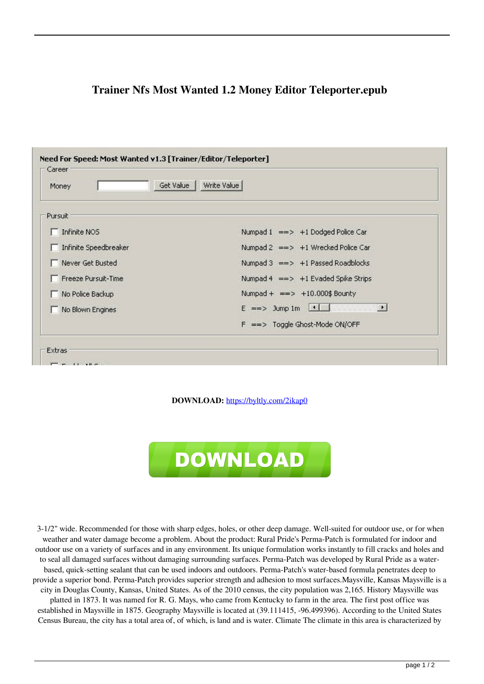| Write Value<br>Get Value<br>Money |                                                         |
|-----------------------------------|---------------------------------------------------------|
| Pursuit                           |                                                         |
| $\Box$ Infinite NOS               | Numpad 1 == > +1 Dodged Police Car                      |
| Infinite Speedbreaker             | Numpad 2 == > +1 Wrecked Police Car                     |
| Never Get Busted                  | Numpad $3 \implies +1$ Passed Roadblocks                |
| Freeze Pursuit-Time               | Numpad 4 == > +1 Evaded Spike Strips                    |
| No Police Backup                  | Numpad + $\implies$ +10.000\$ Bounty                    |
| No Blown Engines                  | $E \implies \text{Jump 1m}$ 1<br>$\left  \cdot \right $ |
|                                   | ==> Toggle Ghost-Mode ON/OFF<br>F                       |

## **Trainer Nfs Most Wanted 1.2 Money Editor Teleporter.epub**

**DOWNLOAD:** <https://byltly.com/2ikap0>



 3-1/2" wide. Recommended for those with sharp edges, holes, or other deep damage. Well-suited for outdoor use, or for when weather and water damage become a problem. About the product: Rural Pride's Perma-Patch is formulated for indoor and outdoor use on a variety of surfaces and in any environment. Its unique formulation works instantly to fill cracks and holes and to seal all damaged surfaces without damaging surrounding surfaces. Perma-Patch was developed by Rural Pride as a waterbased, quick-setting sealant that can be used indoors and outdoors. Perma-Patch's water-based formula penetrates deep to provide a superior bond. Perma-Patch provides superior strength and adhesion to most surfaces.Maysville, Kansas Maysville is a city in Douglas County, Kansas, United States. As of the 2010 census, the city population was 2,165. History Maysville was platted in 1873. It was named for R. G. Mays, who came from Kentucky to farm in the area. The first post office was established in Maysville in 1875. Geography Maysville is located at (39.111415, -96.499396). According to the United States Census Bureau, the city has a total area of, of which, is land and is water. Climate The climate in this area is characterized by